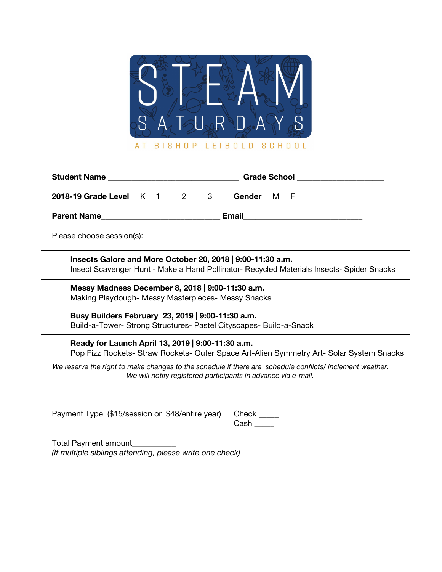

| <b>Student Name</b>       |  |  |  | <b>Grade School</b> |        |   |     |  |  |
|---------------------------|--|--|--|---------------------|--------|---|-----|--|--|
| 2018-19 Grade Level K 1 2 |  |  |  | $\mathcal{B}$       | Gender | м | - F |  |  |
| <b>Parent Name</b>        |  |  |  |                     | Email  |   |     |  |  |

Please choose session(s):

| Insects Galore and More October 20, 2018   9:00-11:30 a.m.<br>Insect Scavenger Hunt - Make a Hand Pollinator- Recycled Materials Insects- Spider Snacks |
|---------------------------------------------------------------------------------------------------------------------------------------------------------|
| Messy Madness December 8, 2018   9:00-11:30 a.m.<br>Making Playdough- Messy Masterpieces- Messy Snacks                                                  |
| Busy Builders February 23, 2019   9:00-11:30 a.m.<br>Build-a-Tower- Strong Structures- Pastel Cityscapes- Build-a-Snack                                 |
| Ready for Launch April 13, 2019   9:00-11:30 a.m.<br>Pop Fizz Rockets- Straw Rockets- Outer Space Art-Alien Symmetry Art- Solar System Snacks           |

*We reserve the right to make changes to the schedule if there are schedule conflicts/ inclement weather. We will notify registered participants in advance via e-mail.*

|  | Payment Type (\$15/session or \$48/entire year) Check |      |
|--|-------------------------------------------------------|------|
|  |                                                       | Cash |

Total Payment amount\_\_\_\_\_\_\_\_\_\_\_ *(If multiple siblings attending, please write one check)*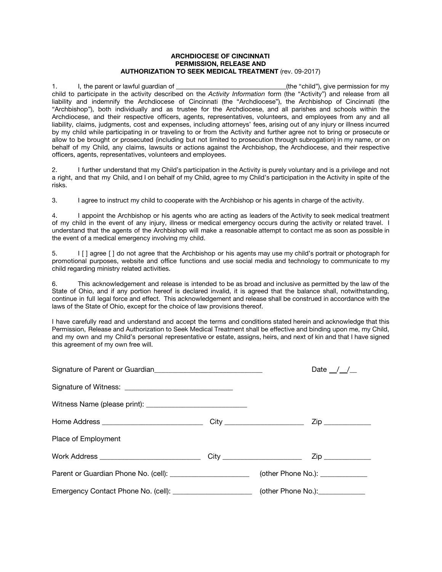## **ARCHDIOCESE OF CINCINNATI PERMISSION, RELEASE AND AUTHORIZATION TO SEEK MEDICAL TREATMENT** (rev. 09-2017)

1. I, the parent or lawful guardian of (the "child"), give permission for my child to participate in the activity described on the *Activity Information* form (the "Activity") and release from all liability and indemnify the Archdiocese of Cincinnati (the "Archdiocese"), the Archbishop of Cincinnati (the "Archbishop"), both individually and as trustee for the Archdiocese, and all parishes and schools within the Archdiocese, and their respective officers, agents, representatives, volunteers, and employees from any and all liability, claims, judgments, cost and expenses, including attorneys' fees, arising out of any injury or illness incurred by my child while participating in or traveling to or from the Activity and further agree not to bring or prosecute or allow to be brought or prosecuted (including but not limited to prosecution through subrogation) in my name, or on behalf of my Child, any claims, lawsuits or actions against the Archbishop, the Archdiocese, and their respective officers, agents, representatives, volunteers and employees.

2. I further understand that my Child's participation in the Activity is purely voluntary and is a privilege and not a right, and that my Child, and I on behalf of my Child, agree to my Child's participation in the Activity in spite of the risks.

3. I agree to instruct my child to cooperate with the Archbishop or his agents in charge of the activity.

4. I appoint the Archbishop or his agents who are acting as leaders of the Activity to seek medical treatment of my child in the event of any injury, illness or medical emergency occurs during the activity or related travel. I understand that the agents of the Archbishop will make a reasonable attempt to contact me as soon as possible in the event of a medical emergency involving my child.

5. I [ ] agree [ ] do not agree that the Archbishop or his agents may use my child's portrait or photograph for promotional purposes, website and office functions and use social media and technology to communicate to my child regarding ministry related activities.

6. This acknowledgement and release is intended to be as broad and inclusive as permitted by the law of the State of Ohio, and if any portion hereof is declared invalid, it is agreed that the balance shall, notwithstanding, continue in full legal force and effect. This acknowledgement and release shall be construed in accordance with the laws of the State of Ohio, except for the choice of law provisions thereof.

I have carefully read and understand and accept the terms and conditions stated herein and acknowledge that this Permission, Release and Authorization to Seek Medical Treatment shall be effective and binding upon me, my Child, and my own and my Child's personal representative or estate, assigns, heirs, and next of kin and that I have signed this agreement of my own free will.

|                                                                                                     | Date $\frac{\ }{\ }$ / $\frac{\ }{\ }$ |
|-----------------------------------------------------------------------------------------------------|----------------------------------------|
|                                                                                                     |                                        |
|                                                                                                     |                                        |
|                                                                                                     |                                        |
| Place of Employment                                                                                 |                                        |
|                                                                                                     |                                        |
| Parent or Guardian Phone No. (cell): __________________________(other Phone No.): _________________ |                                        |
| Emergency Contact Phone No. (cell): ________________________ (other Phone No.):______________       |                                        |